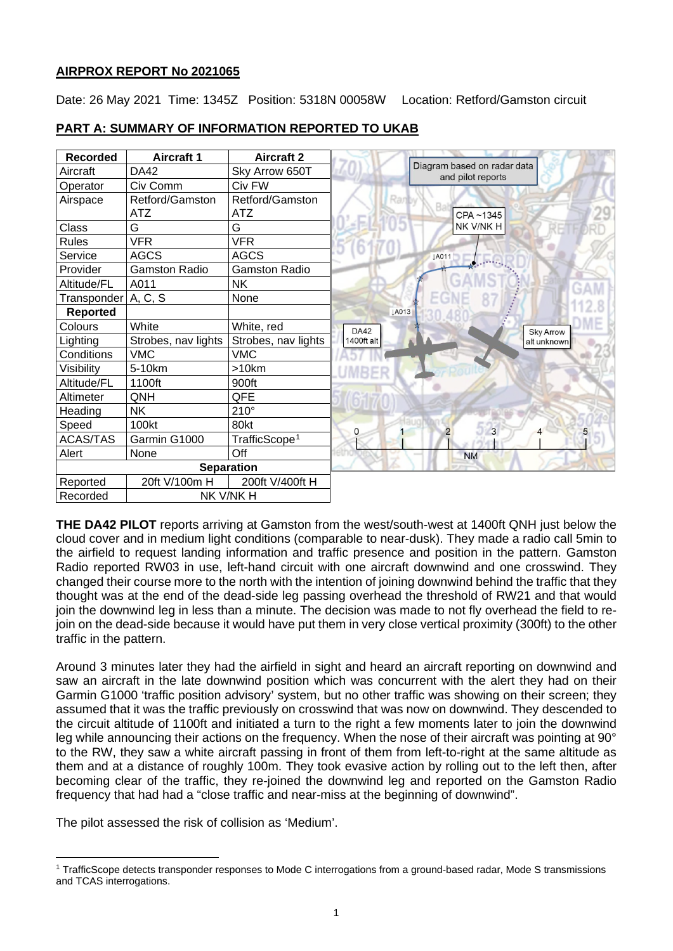## **AIRPROX REPORT No 2021065**

Date: 26 May 2021 Time: 1345Z Position: 5318N 00058W Location: Retford/Gamston circuit

| <b>Recorded</b>       | <b>Aircraft 1</b>    | <b>Aircraft 2</b>         |              |                                                  |
|-----------------------|----------------------|---------------------------|--------------|--------------------------------------------------|
| Aircraft              | DA42                 | Sky Arrow 650T            |              | Diagram based on radar data<br>and pilot reports |
| Operator              | Civ Comm             | Civ FW                    |              |                                                  |
| Airspace              | Retford/Gamston      | Retford/Gamston           | Ran          |                                                  |
|                       | <b>ATZ</b>           | ATZ                       |              | CPA~1345                                         |
| Class                 | G                    | G                         |              | NK V/NK H                                        |
| <b>Rules</b>          | <b>VFR</b>           | <b>VFR</b>                |              |                                                  |
| Service               | <b>AGCS</b>          | <b>AGCS</b>               |              | <b>LA011</b>                                     |
| Provider              | <b>Gamston Radio</b> | <b>Gamston Radio</b>      |              |                                                  |
| Altitude/FL           | A011                 | <b>NK</b>                 |              |                                                  |
| Transponder   A, C, S |                      | None                      |              |                                                  |
| <b>Reported</b>       |                      |                           | <b>JA013</b> |                                                  |
| Colours               | White                | White, red                | <b>DA42</b>  | <b>Sky Arrow</b>                                 |
| Lighting              | Strobes, nav lights  | Strobes, nav lights       | 1400ft alt   | alt unknown                                      |
| Conditions            | <b>VMC</b>           | <b>VMC</b>                |              |                                                  |
| Visibility            | 5-10km               | >10km                     |              |                                                  |
| Altitude/FL           | 1100ft               | 900ft                     |              |                                                  |
| Altimeter             | QNH                  | QFE                       |              |                                                  |
| Heading               | <b>NK</b>            | $210^\circ$               |              |                                                  |
| Speed                 | 100kt                | 80kt                      | 0            | $\overline{3}$<br>2                              |
| <b>ACAS/TAS</b>       | Garmin G1000         | TrafficScope <sup>1</sup> |              |                                                  |
| Alert                 | None                 | Off                       |              | <b>NM</b>                                        |
|                       |                      | <b>Separation</b>         |              |                                                  |
| Reported              | 20ft V/100m H        | 200ft V/400ft H           |              |                                                  |
| NK V/NK H<br>Recorded |                      |                           |              |                                                  |

## **PART A: SUMMARY OF INFORMATION REPORTED TO UKAB**

**THE DA42 PILOT** reports arriving at Gamston from the west/south-west at 1400ft QNH just below the cloud cover and in medium light conditions (comparable to near-dusk). They made a radio call 5min to the airfield to request landing information and traffic presence and position in the pattern. Gamston Radio reported RW03 in use, left-hand circuit with one aircraft downwind and one crosswind. They changed their course more to the north with the intention of joining downwind behind the traffic that they thought was at the end of the dead-side leg passing overhead the threshold of RW21 and that would join the downwind leg in less than a minute. The decision was made to not fly overhead the field to rejoin on the dead-side because it would have put them in very close vertical proximity (300ft) to the other traffic in the pattern.

Around 3 minutes later they had the airfield in sight and heard an aircraft reporting on downwind and saw an aircraft in the late downwind position which was concurrent with the alert they had on their Garmin G1000 'traffic position advisory' system, but no other traffic was showing on their screen; they assumed that it was the traffic previously on crosswind that was now on downwind. They descended to the circuit altitude of 1100ft and initiated a turn to the right a few moments later to join the downwind leg while announcing their actions on the frequency. When the nose of their aircraft was pointing at 90° to the RW, they saw a white aircraft passing in front of them from left-to-right at the same altitude as them and at a distance of roughly 100m. They took evasive action by rolling out to the left then, after becoming clear of the traffic, they re-joined the downwind leg and reported on the Gamston Radio frequency that had had a "close traffic and near-miss at the beginning of downwind".

The pilot assessed the risk of collision as 'Medium'.

<span id="page-0-0"></span><sup>1</sup> TrafficScope detects transponder responses to Mode C interrogations from a ground-based radar, Mode S transmissions and TCAS interrogations.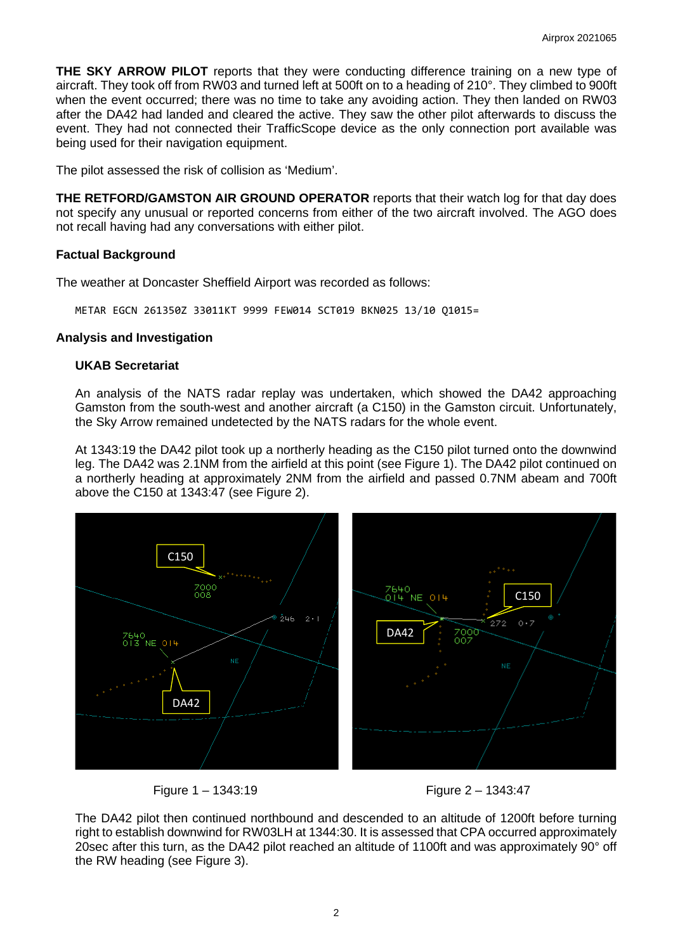**THE SKY ARROW PILOT** reports that they were conducting difference training on a new type of aircraft. They took off from RW03 and turned left at 500ft on to a heading of 210°. They climbed to 900ft when the event occurred; there was no time to take any avoiding action. They then landed on RW03 after the DA42 had landed and cleared the active. They saw the other pilot afterwards to discuss the event. They had not connected their TrafficScope device as the only connection port available was being used for their navigation equipment.

The pilot assessed the risk of collision as 'Medium'.

**THE RETFORD/GAMSTON AIR GROUND OPERATOR** reports that their watch log for that day does not specify any unusual or reported concerns from either of the two aircraft involved. The AGO does not recall having had any conversations with either pilot.

### **Factual Background**

The weather at Doncaster Sheffield Airport was recorded as follows:

METAR EGCN 261350Z 33011KT 9999 FEW014 SCT019 BKN025 13/10 Q1015=

### **Analysis and Investigation**

### **UKAB Secretariat**

An analysis of the NATS radar replay was undertaken, which showed the DA42 approaching Gamston from the south-west and another aircraft (a C150) in the Gamston circuit. Unfortunately, the Sky Arrow remained undetected by the NATS radars for the whole event.

At 1343:19 the DA42 pilot took up a northerly heading as the C150 pilot turned onto the downwind leg. The DA42 was 2.1NM from the airfield at this point (see Figure 1). The DA42 pilot continued on a northerly heading at approximately 2NM from the airfield and passed 0.7NM abeam and 700ft above the C150 at 1343:47 (see Figure 2).





Figure 1 – 1343:19 Figure 2 – 1343:47

The DA42 pilot then continued northbound and descended to an altitude of 1200ft before turning right to establish downwind for RW03LH at 1344:30. It is assessed that CPA occurred approximately 20sec after this turn, as the DA42 pilot reached an altitude of 1100ft and was approximately 90° off the RW heading (see Figure 3).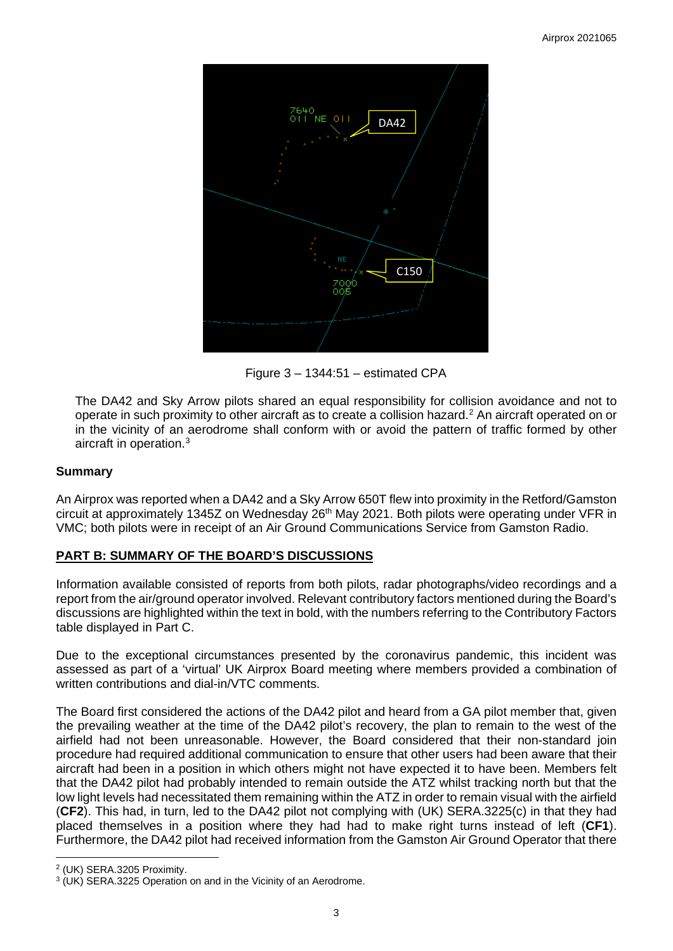

Figure 3 – 1344:51 – estimated CPA

The DA42 and Sky Arrow pilots shared an equal responsibility for collision avoidance and not to operate in such proximity to other aircraft as to create a collision hazard. [2](#page-2-0) An aircraft operated on or in the vicinity of an aerodrome shall conform with or avoid the pattern of traffic formed by other aircraft in operation. [3](#page-2-1)

### **Summary**

An Airprox was reported when a DA42 and a Sky Arrow 650T flew into proximity in the Retford/Gamston circuit at approximately 1345Z on Wednesday 26<sup>th</sup> May 2021. Both pilots were operating under VFR in VMC; both pilots were in receipt of an Air Ground Communications Service from Gamston Radio.

## **PART B: SUMMARY OF THE BOARD'S DISCUSSIONS**

Information available consisted of reports from both pilots, radar photographs/video recordings and a report from the air/ground operator involved. Relevant contributory factors mentioned during the Board's discussions are highlighted within the text in bold, with the numbers referring to the Contributory Factors table displayed in Part C.

Due to the exceptional circumstances presented by the coronavirus pandemic, this incident was assessed as part of a 'virtual' UK Airprox Board meeting where members provided a combination of written contributions and dial-in/VTC comments.

The Board first considered the actions of the DA42 pilot and heard from a GA pilot member that, given the prevailing weather at the time of the DA42 pilot's recovery, the plan to remain to the west of the airfield had not been unreasonable. However, the Board considered that their non-standard join procedure had required additional communication to ensure that other users had been aware that their aircraft had been in a position in which others might not have expected it to have been. Members felt that the DA42 pilot had probably intended to remain outside the ATZ whilst tracking north but that the low light levels had necessitated them remaining within the ATZ in order to remain visual with the airfield (**CF2**). This had, in turn, led to the DA42 pilot not complying with (UK) SERA.3225(c) in that they had placed themselves in a position where they had had to make right turns instead of left (**CF1**). Furthermore, the DA42 pilot had received information from the Gamston Air Ground Operator that there

<span id="page-2-0"></span><sup>2</sup> (UK) SERA.3205 Proximity.

<span id="page-2-1"></span><sup>3</sup> (UK) SERA.3225 Operation on and in the Vicinity of an Aerodrome.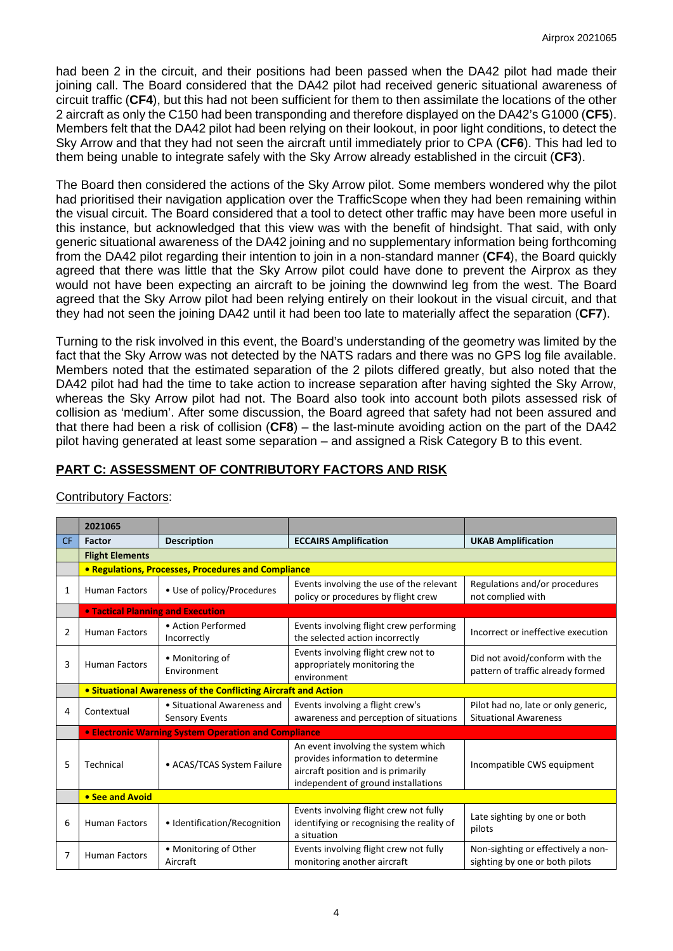had been 2 in the circuit, and their positions had been passed when the DA42 pilot had made their joining call. The Board considered that the DA42 pilot had received generic situational awareness of circuit traffic (**CF4**), but this had not been sufficient for them to then assimilate the locations of the other 2 aircraft as only the C150 had been transponding and therefore displayed on the DA42's G1000 (**CF5**). Members felt that the DA42 pilot had been relying on their lookout, in poor light conditions, to detect the Sky Arrow and that they had not seen the aircraft until immediately prior to CPA (**CF6**). This had led to them being unable to integrate safely with the Sky Arrow already established in the circuit (**CF3**).

The Board then considered the actions of the Sky Arrow pilot. Some members wondered why the pilot had prioritised their navigation application over the TrafficScope when they had been remaining within the visual circuit. The Board considered that a tool to detect other traffic may have been more useful in this instance, but acknowledged that this view was with the benefit of hindsight. That said, with only generic situational awareness of the DA42 joining and no supplementary information being forthcoming from the DA42 pilot regarding their intention to join in a non-standard manner (**CF4**), the Board quickly agreed that there was little that the Sky Arrow pilot could have done to prevent the Airprox as they would not have been expecting an aircraft to be joining the downwind leg from the west. The Board agreed that the Sky Arrow pilot had been relying entirely on their lookout in the visual circuit, and that they had not seen the joining DA42 until it had been too late to materially affect the separation (**CF7**).

Turning to the risk involved in this event, the Board's understanding of the geometry was limited by the fact that the Sky Arrow was not detected by the NATS radars and there was no GPS log file available. Members noted that the estimated separation of the 2 pilots differed greatly, but also noted that the DA42 pilot had had the time to take action to increase separation after having sighted the Sky Arrow, whereas the Sky Arrow pilot had not. The Board also took into account both pilots assessed risk of collision as 'medium'. After some discussion, the Board agreed that safety had not been assured and that there had been a risk of collision (**CF8**) – the last-minute avoiding action on the part of the DA42 pilot having generated at least some separation – and assigned a Risk Category B to this event.

# **PART C: ASSESSMENT OF CONTRIBUTORY FACTORS AND RISK**

|           | 2021065                                                        |                                                      |                                                                                                                                                       |                                                                      |  |  |  |
|-----------|----------------------------------------------------------------|------------------------------------------------------|-------------------------------------------------------------------------------------------------------------------------------------------------------|----------------------------------------------------------------------|--|--|--|
| <b>CF</b> | Factor                                                         | <b>Description</b>                                   | <b>ECCAIRS Amplification</b>                                                                                                                          | <b>UKAB Amplification</b>                                            |  |  |  |
|           | <b>Flight Elements</b>                                         |                                                      |                                                                                                                                                       |                                                                      |  |  |  |
|           | <b>• Regulations, Processes, Procedures and Compliance</b>     |                                                      |                                                                                                                                                       |                                                                      |  |  |  |
| 1         | <b>Human Factors</b>                                           | • Use of policy/Procedures                           | Events involving the use of the relevant<br>policy or procedures by flight crew                                                                       | Regulations and/or procedures<br>not complied with                   |  |  |  |
|           | <b>• Tactical Planning and Execution</b>                       |                                                      |                                                                                                                                                       |                                                                      |  |  |  |
| 2         | <b>Human Factors</b>                                           | • Action Performed<br>Incorrectly                    | Events involving flight crew performing<br>the selected action incorrectly                                                                            | Incorrect or ineffective execution                                   |  |  |  |
| 3         | <b>Human Factors</b>                                           | • Monitoring of<br>Environment                       | Events involving flight crew not to<br>appropriately monitoring the<br>environment                                                                    | Did not avoid/conform with the<br>pattern of traffic already formed  |  |  |  |
|           | • Situational Awareness of the Conflicting Aircraft and Action |                                                      |                                                                                                                                                       |                                                                      |  |  |  |
| 4         | Contextual                                                     | • Situational Awareness and<br><b>Sensory Events</b> | Events involving a flight crew's<br>awareness and perception of situations                                                                            | Pilot had no, late or only generic,<br><b>Situational Awareness</b>  |  |  |  |
|           | <b>• Electronic Warning System Operation and Compliance</b>    |                                                      |                                                                                                                                                       |                                                                      |  |  |  |
| 5         | Technical                                                      | • ACAS/TCAS System Failure                           | An event involving the system which<br>provides information to determine<br>aircraft position and is primarily<br>independent of ground installations | Incompatible CWS equipment                                           |  |  |  |
|           | • See and Avoid                                                |                                                      |                                                                                                                                                       |                                                                      |  |  |  |
| 6         | <b>Human Factors</b>                                           | • Identification/Recognition                         | Events involving flight crew not fully<br>identifying or recognising the reality of<br>a situation                                                    | Late sighting by one or both<br>pilots                               |  |  |  |
| 7         | <b>Human Factors</b>                                           | • Monitoring of Other<br>Aircraft                    | Events involving flight crew not fully<br>monitoring another aircraft                                                                                 | Non-sighting or effectively a non-<br>sighting by one or both pilots |  |  |  |

# Contributory Factors: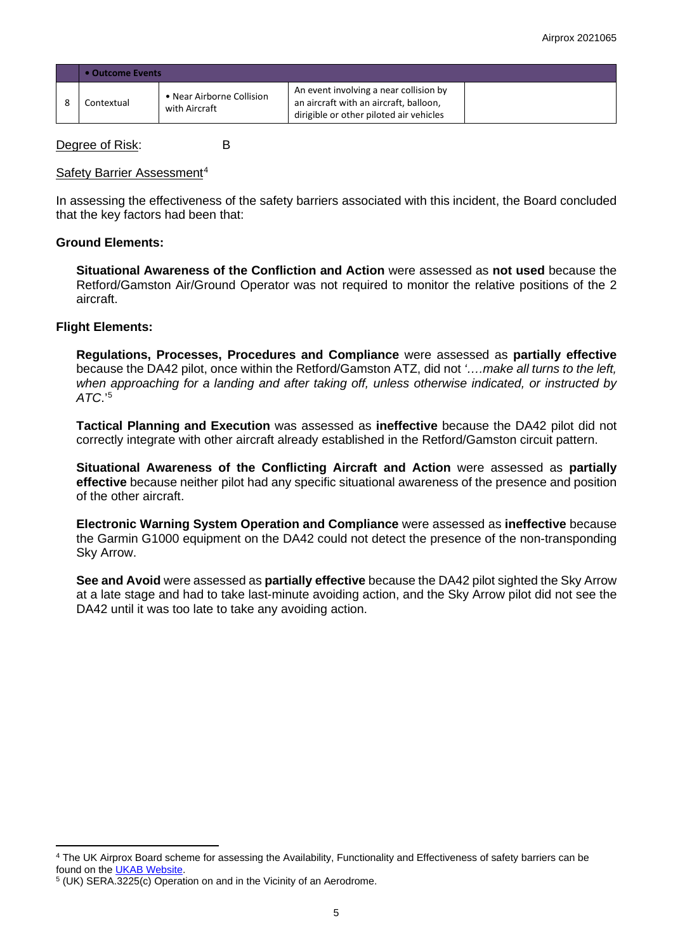| • Outcome Events |                                            |                                                                                                                             |  |  |  |
|------------------|--------------------------------------------|-----------------------------------------------------------------------------------------------------------------------------|--|--|--|
| Contextual       | • Near Airborne Collision<br>with Aircraft | An event involving a near collision by<br>an aircraft with an aircraft, balloon,<br>dirigible or other piloted air vehicles |  |  |  |

Degree of Risk: B

#### Safety Barrier Assessment<sup>[4](#page-4-0)</sup>

In assessing the effectiveness of the safety barriers associated with this incident, the Board concluded that the key factors had been that:

## **Ground Elements:**

**Situational Awareness of the Confliction and Action** were assessed as **not used** because the Retford/Gamston Air/Ground Operator was not required to monitor the relative positions of the 2 aircraft.

### **Flight Elements:**

**Regulations, Processes, Procedures and Compliance** were assessed as **partially effective** because the DA42 pilot, once within the Retford/Gamston ATZ, did not *'….make all turns to the left, when approaching for a landing and after taking off, unless otherwise indicated, or instructed by ATC*.'[5](#page-4-1)

**Tactical Planning and Execution** was assessed as **ineffective** because the DA42 pilot did not correctly integrate with other aircraft already established in the Retford/Gamston circuit pattern.

**Situational Awareness of the Conflicting Aircraft and Action** were assessed as **partially effective** because neither pilot had any specific situational awareness of the presence and position of the other aircraft.

**Electronic Warning System Operation and Compliance** were assessed as **ineffective** because the Garmin G1000 equipment on the DA42 could not detect the presence of the non-transponding Sky Arrow.

**See and Avoid** were assessed as **partially effective** because the DA42 pilot sighted the Sky Arrow at a late stage and had to take last-minute avoiding action, and the Sky Arrow pilot did not see the DA42 until it was too late to take any avoiding action.

<span id="page-4-0"></span><sup>4</sup> The UK Airprox Board scheme for assessing the Availability, Functionality and Effectiveness of safety barriers can be found on the **UKAB Website**.

<span id="page-4-1"></span><sup>5</sup> (UK) SERA.3225(c) Operation on and in the Vicinity of an Aerodrome.